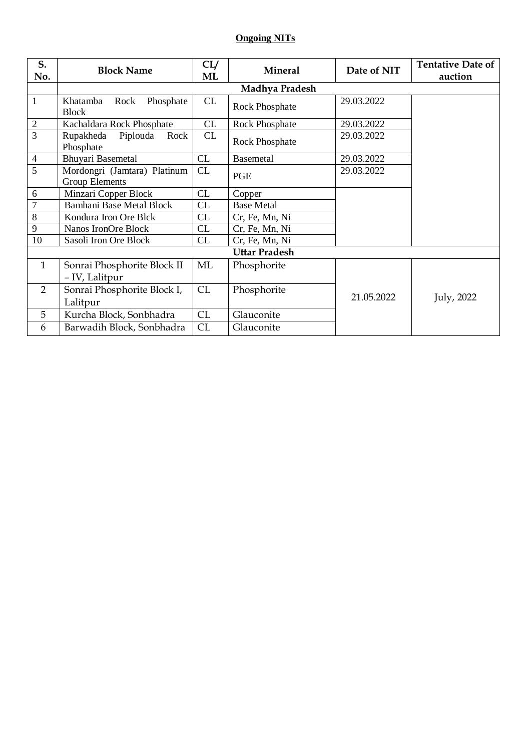## **Ongoing NITs**

| S.             | <b>Block Name</b>                                     | CL/ | <b>Mineral</b>        | Date of NIT | <b>Tentative Date of</b> |  |  |
|----------------|-------------------------------------------------------|-----|-----------------------|-------------|--------------------------|--|--|
| No.            |                                                       | ML  |                       |             | auction                  |  |  |
|                | Madhya Pradesh                                        |     |                       |             |                          |  |  |
| $\mathbf{1}$   | Khatamba<br>Phosphate<br>Rock<br><b>Block</b>         | CL  | <b>Rock Phosphate</b> | 29.03.2022  |                          |  |  |
| $\mathbf{2}$   | Kachaldara Rock Phosphate                             | CL  | Rock Phosphate        | 29.03.2022  |                          |  |  |
| $\overline{3}$ | Piplouda<br>Rupakheda<br>Rock<br>Phosphate            | CL  | Rock Phosphate        | 29.03.2022  |                          |  |  |
| $\overline{4}$ | Bhuyari Basemetal                                     | CL  | <b>Basemetal</b>      | 29.03.2022  |                          |  |  |
| 5              | Mordongri (Jamtara) Platinum<br><b>Group Elements</b> | CL  | <b>PGE</b>            | 29.03.2022  |                          |  |  |
| 6              | Minzari Copper Block                                  | CL  | Copper                |             |                          |  |  |
| $\overline{7}$ | <b>Bamhani Base Metal Block</b>                       | CL  | <b>Base Metal</b>     |             |                          |  |  |
| 8              | Kondura Iron Ore Blck                                 | CL  | Cr, Fe, Mn, Ni        |             |                          |  |  |
| 9              | Nanos IronOre Block                                   | CL  | Cr, Fe, Mn, Ni        |             |                          |  |  |
| 10             | Sasoli Iron Ore Block                                 | CL  | Cr, Fe, Mn, Ni        |             |                          |  |  |
| Uttar Pradesh  |                                                       |     |                       |             |                          |  |  |
| $\mathbf{1}$   | Sonrai Phosphorite Block II                           | ML  | Phosphorite           |             |                          |  |  |
|                | - IV, Lalitpur                                        |     |                       |             |                          |  |  |
| 2              | Sonrai Phosphorite Block I,                           | CL  | Phosphorite           |             |                          |  |  |
|                | Lalitpur                                              |     |                       | 21.05.2022  | July, 2022               |  |  |
| 5              | Kurcha Block, Sonbhadra                               | CL  | Glauconite            |             |                          |  |  |
| 6              | Barwadih Block, Sonbhadra                             | CL  | Glauconite            |             |                          |  |  |